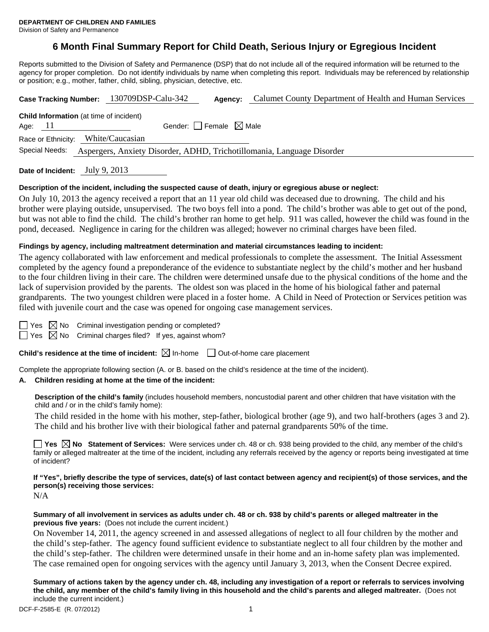# **6 Month Final Summary Report for Child Death, Serious Injury or Egregious Incident**

Reports submitted to the Division of Safety and Permanence (DSP) that do not include all of the required information will be returned to the agency for proper completion. Do not identify individuals by name when completing this report. Individuals may be referenced by relationship or position; e.g., mother, father, child, sibling, physician, detective, etc.

| Case Tracking Number: 130709DSP-Calu-342                                                 |                 | Agency:                                | Calumet County Department of Health and Human Services |  |  |  |
|------------------------------------------------------------------------------------------|-----------------|----------------------------------------|--------------------------------------------------------|--|--|--|
| <b>Child Information</b> (at time of incident)<br>Age: $11$                              |                 | Gender: $\Box$ Female $\boxtimes$ Male |                                                        |  |  |  |
| Race or Ethnicity:                                                                       | White/Caucasian |                                        |                                                        |  |  |  |
| Special Needs:<br>Aspergers, Anxiety Disorder, ADHD, Trichotillomania, Language Disorder |                 |                                        |                                                        |  |  |  |
|                                                                                          |                 |                                        |                                                        |  |  |  |

**Date of Incident:** July 9, 2013

### **Description of the incident, including the suspected cause of death, injury or egregious abuse or neglect:**

On July 10, 2013 the agency received a report that an 11 year old child was deceased due to drowning. The child and his brother were playing outside, unsupervised. The two boys fell into a pond. The child's brother was able to get out of the pond, but was not able to find the child. The child's brother ran home to get help. 911 was called, however the child was found in the pond, deceased. Negligence in caring for the children was alleged; however no criminal charges have been filed.

### **Findings by agency, including maltreatment determination and material circumstances leading to incident:**

The agency collaborated with law enforcement and medical professionals to complete the assessment. The Initial Assessment completed by the agency found a preponderance of the evidence to substantiate neglect by the child's mother and her husband to the four children living in their care. The children were determined unsafe due to the physical conditions of the home and the lack of supervision provided by the parents. The oldest son was placed in the home of his biological father and paternal grandparents. The two youngest children were placed in a foster home. A Child in Need of Protection or Services petition was filed with juvenile court and the case was opened for ongoing case management services.

| ۰.<br>M.<br>۰, |
|----------------|
|                |

 $\boxtimes$  No Criminal investigation pending or completed?

 $\Box$  Yes  $\boxtimes$  No Criminal charges filed? If yes, against whom?

**Child's residence at the time of incident:**  $\boxtimes$  In-home  $\Box$  Out-of-home care placement

Complete the appropriate following section (A. or B. based on the child's residence at the time of the incident).

#### **A. Children residing at home at the time of the incident:**

**Description of the child's family** (includes household members, noncustodial parent and other children that have visitation with the child and / or in the child's family home):

 The child resided in the home with his mother, step-father, biological brother (age 9), and two half-brothers (ages 3 and 2). The child and his brother live with their biological father and paternal grandparents 50% of the time.

■ Yes **No** Statement of Services: Were services under ch. 48 or ch. 938 being provided to the child, any member of the child's family or alleged maltreater at the time of the incident, including any referrals received by the agency or reports being investigated at time of incident?

**If "Yes", briefly describe the type of services, date(s) of last contact between agency and recipient(s) of those services, and the person(s) receiving those services:** 

N/A

### **Summary of all involvement in services as adults under ch. 48 or ch. 938 by child's parents or alleged maltreater in the previous five years:** (Does not include the current incident.)

On November 14, 2011, the agency screened in and assessed allegations of neglect to all four children by the mother and the child's step-father. The agency found sufficient evidence to substantiate neglect to all four children by the mother and the child's step-father. The children were determined unsafe in their home and an in-home safety plan was implemented. The case remained open for ongoing services with the agency until January 3, 2013, when the Consent Decree expired.

**Summary of actions taken by the agency under ch. 48, including any investigation of a report or referrals to services involving the child, any member of the child's family living in this household and the child's parents and alleged maltreater.** (Does not include the current incident.)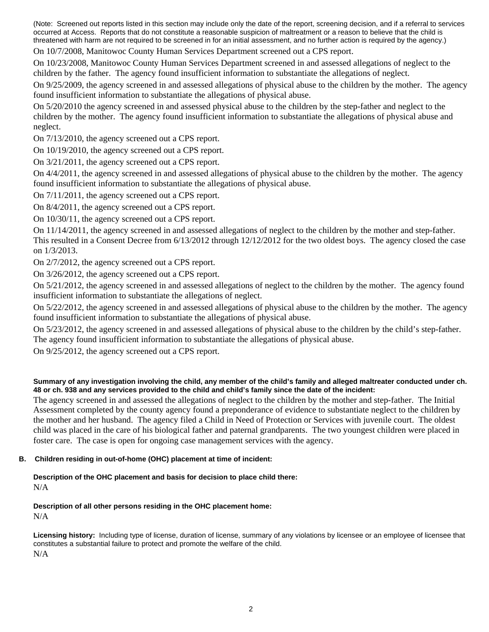(Note: Screened out reports listed in this section may include only the date of the report, screening decision, and if a referral to services occurred at Access. Reports that do not constitute a reasonable suspicion of maltreatment or a reason to believe that the child is threatened with harm are not required to be screened in for an initial assessment, and no further action is required by the agency.)

On 10/7/2008, Manitowoc County Human Services Department screened out a CPS report.

On 10/23/2008, Manitowoc County Human Services Department screened in and assessed allegations of neglect to the children by the father. The agency found insufficient information to substantiate the allegations of neglect.

On 9/25/2009, the agency screened in and assessed allegations of physical abuse to the children by the mother. The agency found insufficient information to substantiate the allegations of physical abuse.

On 5/20/2010 the agency screened in and assessed physical abuse to the children by the step-father and neglect to the children by the mother. The agency found insufficient information to substantiate the allegations of physical abuse and neglect.

On 7/13/2010, the agency screened out a CPS report.

On 10/19/2010, the agency screened out a CPS report.

On 3/21/2011, the agency screened out a CPS report.

On 4/4/2011, the agency screened in and assessed allegations of physical abuse to the children by the mother. The agency found insufficient information to substantiate the allegations of physical abuse.

On 7/11/2011, the agency screened out a CPS report.

On 8/4/2011, the agency screened out a CPS report.

On 10/30/11, the agency screened out a CPS report.

On 11/14/2011, the agency screened in and assessed allegations of neglect to the children by the mother and step-father. This resulted in a Consent Decree from 6/13/2012 through 12/12/2012 for the two oldest boys. The agency closed the case on 1/3/2013.

On 2/7/2012, the agency screened out a CPS report.

On 3/26/2012, the agency screened out a CPS report.

On 5/21/2012, the agency screened in and assessed allegations of neglect to the children by the mother. The agency found insufficient information to substantiate the allegations of neglect.

On 5/22/2012, the agency screened in and assessed allegations of physical abuse to the children by the mother. The agency found insufficient information to substantiate the allegations of physical abuse.

On 5/23/2012, the agency screened in and assessed allegations of physical abuse to the children by the child's step-father. The agency found insufficient information to substantiate the allegations of physical abuse.

On 9/25/2012, the agency screened out a CPS report.

## **Summary of any investigation involving the child, any member of the child's family and alleged maltreater conducted under ch. 48 or ch. 938 and any services provided to the child and child's family since the date of the incident:**

The agency screened in and assessed the allegations of neglect to the children by the mother and step-father. The Initial Assessment completed by the county agency found a preponderance of evidence to substantiate neglect to the children by the mother and her husband. The agency filed a Child in Need of Protection or Services with juvenile court. The oldest child was placed in the care of his biological father and paternal grandparents. The two youngest children were placed in foster care. The case is open for ongoing case management services with the agency.

# **B. Children residing in out-of-home (OHC) placement at time of incident:**

### **Description of the OHC placement and basis for decision to place child there:** N/A

# **Description of all other persons residing in the OHC placement home:** N/A

**Licensing history:** Including type of license, duration of license, summary of any violations by licensee or an employee of licensee that constitutes a substantial failure to protect and promote the welfare of the child. N/A